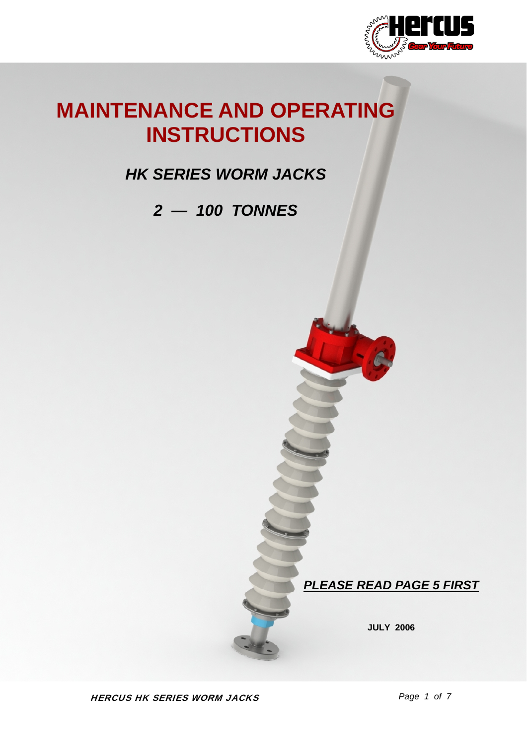

# **MAINTENANCE AND OPERATING INSTRUCTIONS**

## *HK SERIES WORM JACKS*

## *2 — 100 TONNES*

*PLEASE READ PAGE 5 FIRST*

**JULY 2006**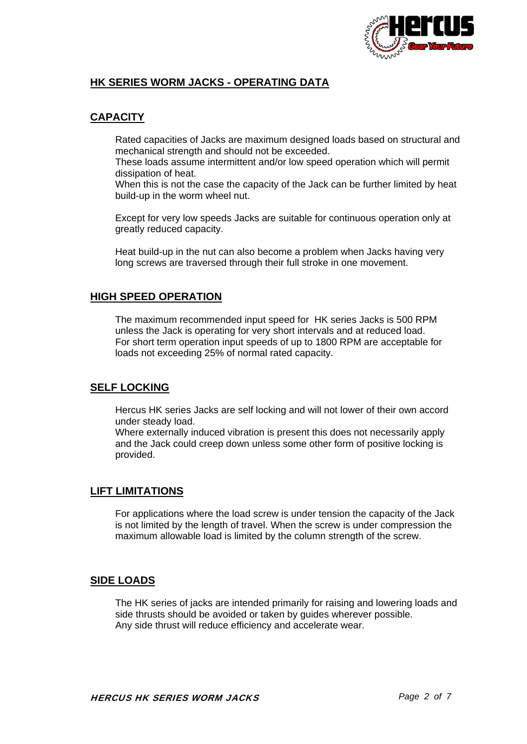

#### **HK SERIES WORM JACKS - OPERATING DATA**

#### **CAPACITY**

 Rated capacities of Jacks are maximum designed loads based on structural and mechanical strength and should not be exceeded.

 These loads assume intermittent and/or low speed operation which will permit dissipation of heat.

 When this is not the case the capacity of the Jack can be further limited by heat build-up in the worm wheel nut.

 Except for very low speeds Jacks are suitable for continuous operation only at greatly reduced capacity.

 Heat build-up in the nut can also become a problem when Jacks having very long screws are traversed through their full stroke in one movement.

#### **HIGH SPEED OPERATION**

 The maximum recommended input speed for HK series Jacks is 500 RPM unless the Jack is operating for very short intervals and at reduced load. For short term operation input speeds of up to 1800 RPM are acceptable for loads not exceeding 25% of normal rated capacity.

#### **SELF LOCKING**

 Hercus HK series Jacks are self locking and will not lower of their own accord under steady load.

 Where externally induced vibration is present this does not necessarily apply and the Jack could creep down unless some other form of positive locking is provided.

#### **LIFT LIMITATIONS**

 For applications where the load screw is under tension the capacity of the Jack is not limited by the length of travel. When the screw is under compression the maximum allowable load is limited by the column strength of the screw.

#### **SIDE LOADS**

 The HK series of jacks are intended primarily for raising and lowering loads and side thrusts should be avoided or taken by guides wherever possible. Any side thrust will reduce efficiency and accelerate wear.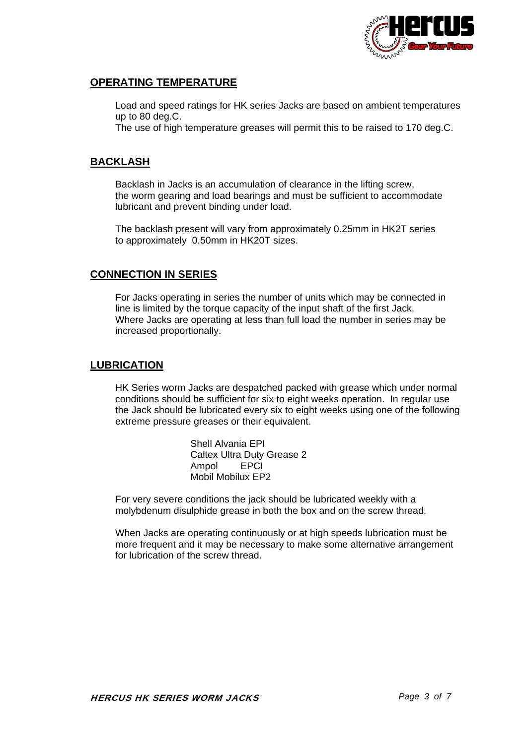

#### **OPERATING TEMPERATURE**

 Load and speed ratings for HK series Jacks are based on ambient temperatures up to 80 deg.C.

The use of high temperature greases will permit this to be raised to 170 deg.C.

#### **BACKLASH**

 Backlash in Jacks is an accumulation of clearance in the lifting screw, the worm gearing and load bearings and must be sufficient to accommodate lubricant and prevent binding under load.

 The backlash present will vary from approximately 0.25mm in HK2T series to approximately 0.50mm in HK20T sizes.

#### **CONNECTION IN SERIES**

 For Jacks operating in series the number of units which may be connected in line is limited by the torque capacity of the input shaft of the first Jack. Where Jacks are operating at less than full load the number in series may be increased proportionally.

#### **LUBRICATION**

 HK Series worm Jacks are despatched packed with grease which under normal conditions should be sufficient for six to eight weeks operation. In regular use the Jack should be lubricated every six to eight weeks using one of the following extreme pressure greases or their equivalent.

> Shell Alvania EPI Caltex Ultra Duty Grease 2 Ampol EPCI Mobil Mobilux EP2

 For very severe conditions the jack should be lubricated weekly with a molybdenum disulphide grease in both the box and on the screw thread.

 When Jacks are operating continuously or at high speeds lubrication must be more frequent and it may be necessary to make some alternative arrangement for lubrication of the screw thread.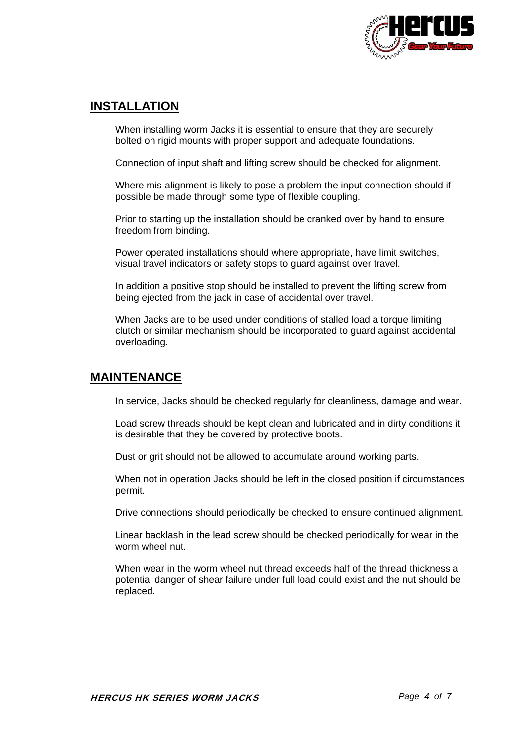

### **INSTALLATION**

 When installing worm Jacks it is essential to ensure that they are securely bolted on rigid mounts with proper support and adequate foundations.

Connection of input shaft and lifting screw should be checked for alignment.

 Where mis-alignment is likely to pose a problem the input connection should if possible be made through some type of flexible coupling.

 Prior to starting up the installation should be cranked over by hand to ensure freedom from binding.

 Power operated installations should where appropriate, have limit switches, visual travel indicators or safety stops to guard against over travel.

 In addition a positive stop should be installed to prevent the lifting screw from being ejected from the jack in case of accidental over travel.

 When Jacks are to be used under conditions of stalled load a torque limiting clutch or similar mechanism should be incorporated to guard against accidental overloading.

### **MAINTENANCE**

In service, Jacks should be checked regularly for cleanliness, damage and wear.

 Load screw threads should be kept clean and lubricated and in dirty conditions it is desirable that they be covered by protective boots.

Dust or grit should not be allowed to accumulate around working parts.

 When not in operation Jacks should be left in the closed position if circumstances permit.

Drive connections should periodically be checked to ensure continued alignment.

 Linear backlash in the lead screw should be checked periodically for wear in the worm wheel nut.

 When wear in the worm wheel nut thread exceeds half of the thread thickness a potential danger of shear failure under full load could exist and the nut should be replaced.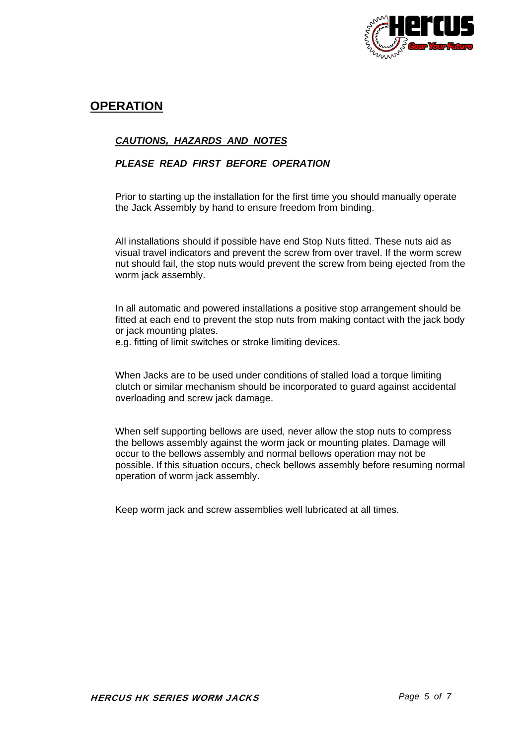

### **OPERATION**

#### *CAUTIONS, HAZARDS AND NOTES*

#### *PLEASE READ FIRST BEFORE OPERATION*

 Prior to starting up the installation for the first time you should manually operate the Jack Assembly by hand to ensure freedom from binding.

 All installations should if possible have end Stop Nuts fitted. These nuts aid as visual travel indicators and prevent the screw from over travel. If the worm screw nut should fail, the stop nuts would prevent the screw from being ejected from the worm jack assembly.

 In all automatic and powered installations a positive stop arrangement should be fitted at each end to prevent the stop nuts from making contact with the jack body or jack mounting plates.

e.g. fitting of limit switches or stroke limiting devices.

 When Jacks are to be used under conditions of stalled load a torque limiting clutch or similar mechanism should be incorporated to guard against accidental overloading and screw jack damage.

 When self supporting bellows are used, never allow the stop nuts to compress the bellows assembly against the worm jack or mounting plates. Damage will occur to the bellows assembly and normal bellows operation may not be possible. If this situation occurs, check bellows assembly before resuming normal operation of worm jack assembly.

Keep worm jack and screw assemblies well lubricated at all times.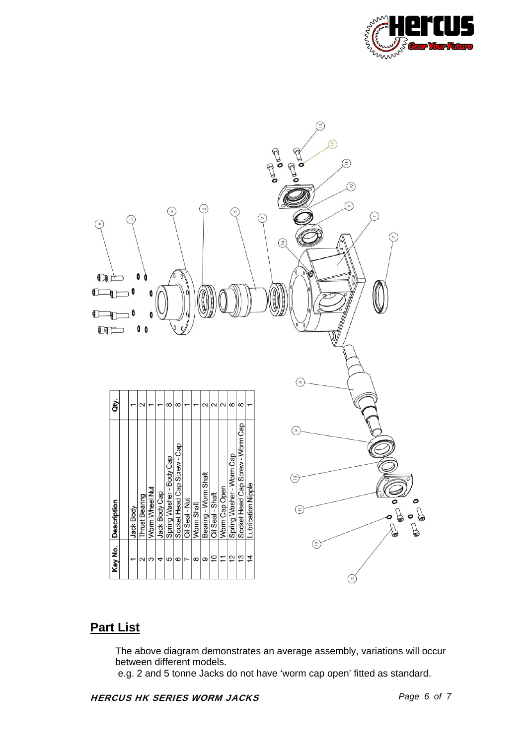



## **Part List**

 The above diagram demonstrates an average assembly, variations will occur between different models.

e.g. 2 and 5 tonne Jacks do not have 'worm cap open' fitted as standard.